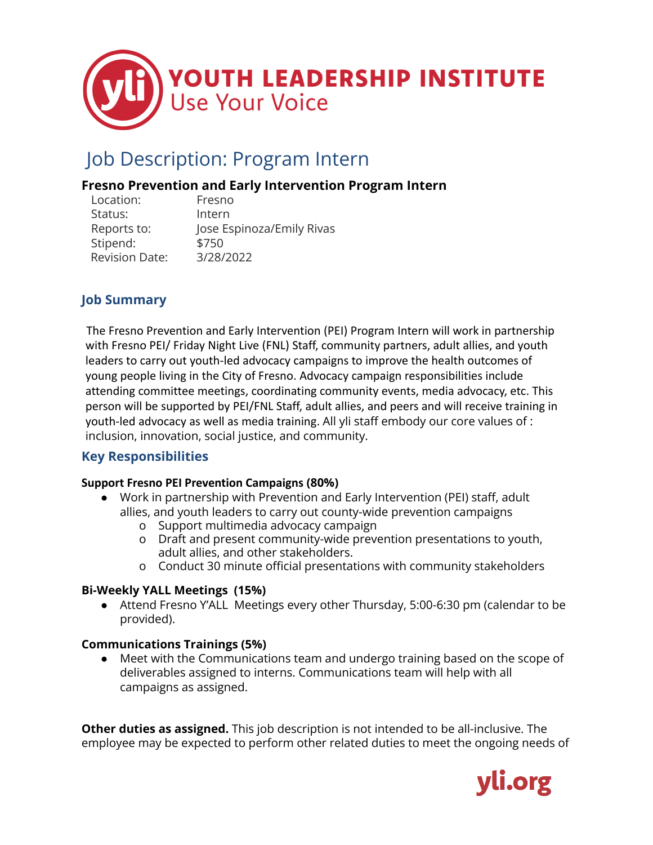

## Job Description: Program Intern

### **Fresno Prevention and Early Intervention Program Intern**

| Location:             | Fresno                    |
|-----------------------|---------------------------|
| Status:               | Intern                    |
| Reports to:           | Jose Espinoza/Emily Rivas |
| Stipend:              | \$750                     |
| <b>Revision Date:</b> | 3/28/2022                 |

## **Job Summary**

The Fresno Prevention and Early Intervention (PEI) Program Intern will work in partnership with Fresno PEI/ Friday Night Live (FNL) Staff, community partners, adult allies, and youth leaders to carry out youth-led advocacy campaigns to improve the health outcomes of young people living in the City of Fresno. Advocacy campaign responsibilities include attending committee meetings, coordinating community events, media advocacy, etc. This person will be supported by PEI/FNL Staff, adult allies, and peers and will receive training in youth-led advocacy as well as media training. All yli staff embody our core values of : inclusion, innovation, social justice, and community.

#### **Key Responsibilities**

#### **Support Fresno PEI Prevention Campaigns (80%)**

- Work in partnership with Prevention and Early Intervention (PEI) staff, adult allies, and youth leaders to carry out county-wide prevention campaigns
	- o Support multimedia advocacy campaign
	- o Draft and present community-wide prevention presentations to youth, adult allies, and other stakeholders.
	- o Conduct 30 minute official presentations with community stakeholders

#### **Bi-Weekly YALL Meetings (15%)**

● Attend Fresno Y'ALL Meetings every other Thursday, 5:00-6:30 pm (calendar to be provided).

#### **Communications Trainings (5%)**

● Meet with the Communications team and undergo training based on the scope of deliverables assigned to interns. Communications team will help with all campaigns as assigned.

**Other duties as assigned.** This job description is not intended to be all-inclusive. The employee may be expected to perform other related duties to meet the ongoing needs of